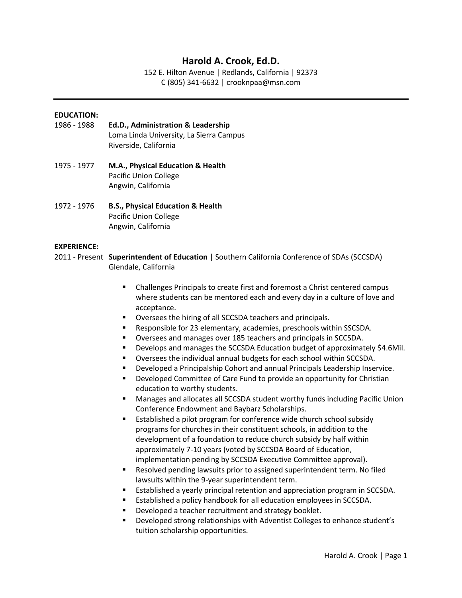# **Harold A. Crook, Ed.D.**

152 E. Hilton Avenue | Redlands, California | 92373 C (805) 341-6632 | crooknpaa@msn.com

#### **EDUCATION:**

- 1986 1988 **Ed.D., Administration & Leadership**  Loma Linda University, La Sierra Campus Riverside, California
- 1975 1977 **M.A., Physical Education & Health**  Pacific Union College Angwin, California
- 1972 1976 **B.S., Physical Education & Health** Pacific Union College Angwin, California

#### **EXPERIENCE:**

- 2011 Present **Superintendent of Education** | Southern California Conference of SDAs (SCCSDA) Glendale, California
	- Challenges Principals to create first and foremost a Christ centered campus where students can be mentored each and every day in a culture of love and acceptance.
	- Oversees the hiring of all SCCSDA teachers and principals.
	- Responsible for 23 elementary, academies, preschools within SSCSDA.
	- Oversees and manages over 185 teachers and principals in SCCSDA.
	- **•** Develops and manages the SCCSDA Education budget of approximately \$4.6Mil.
	- Oversees the individual annual budgets for each school within SCCSDA.
	- Developed a Principalship Cohort and annual Principals Leadership Inservice.
	- **•** Developed Committee of Care Fund to provide an opportunity for Christian education to worthy students.
	- Manages and allocates all SCCSDA student worthy funds including Pacific Union Conference Endowment and Baybarz Scholarships.
	- Established a pilot program for conference wide church school subsidy programs for churches in their constituent schools, in addition to the development of a foundation to reduce church subsidy by half within approximately 7-10 years (voted by SCCSDA Board of Education, implementation pending by SCCSDA Executive Committee approval).
	- Resolved pending lawsuits prior to assigned superintendent term. No filed lawsuits within the 9-year superintendent term.
	- Established a yearly principal retention and appreciation program in SCCSDA.
	- Established a policy handbook for all education employees in SCCSDA.
	- Developed a teacher recruitment and strategy booklet.
	- Developed strong relationships with Adventist Colleges to enhance student's tuition scholarship opportunities.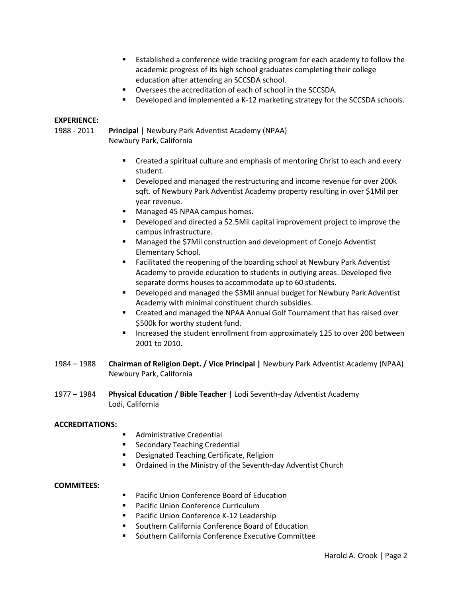- Established a conference wide tracking program for each academy to follow the academic progress of its high school graduates completing their college education after attending an SCCSDA school.
- Oversees the accreditation of each of school in the SCCSDA.
- Developed and implemented a K-12 marketing strategy for the SCCSDA schools.

# **EXPERIENCE:**

1988 - 2011 **Principal** | Newbury Park Adventist Academy (NPAA) Newbury Park, California

- Created a spiritual culture and emphasis of mentoring Christ to each and every student.
- Developed and managed the restructuring and income revenue for over 200k sqft. of Newbury Park Adventist Academy property resulting in over \$1Mil per year revenue.
- Managed 45 NPAA campus homes.
- Developed and directed a \$2.5Mil capital improvement project to improve the campus infrastructure.
- Managed the \$7Mil construction and development of Conejo Adventist Elementary School.
- Facilitated the reopening of the boarding school at Newbury Park Adventist Academy to provide education to students in outlying areas. Developed five separate dorms houses to accommodate up to 60 students.
- Developed and managed the \$3Mil annual budget for Newbury Park Adventist Academy with minimal constituent church subsidies.
- Created and managed the NPAA Annual Golf Tournament that has raised over \$500k for worthy student fund.
- **■** Increased the student enrollment from approximately 125 to over 200 between 2001 to 2010.
- 1984 1988 **Chairman of Religion Dept. / Vice Principal |** Newbury Park Adventist Academy (NPAA) Newbury Park, California
- 1977 1984 **Physical Education / Bible Teacher** | Lodi Seventh-day Adventist Academy Lodi, California

## **ACCREDITATIONS:**

- Administrative Credential
- Secondary Teaching Credential
- Designated Teaching Certificate, Religion
- Ordained in the Ministry of the Seventh-day Adventist Church

## **COMMITEES:**

- Pacific Union Conference Board of Education
- Pacific Union Conference Curriculum
- Pacific Union Conference K-12 Leadership
- Southern California Conference Board of Education
- Southern California Conference Executive Committee